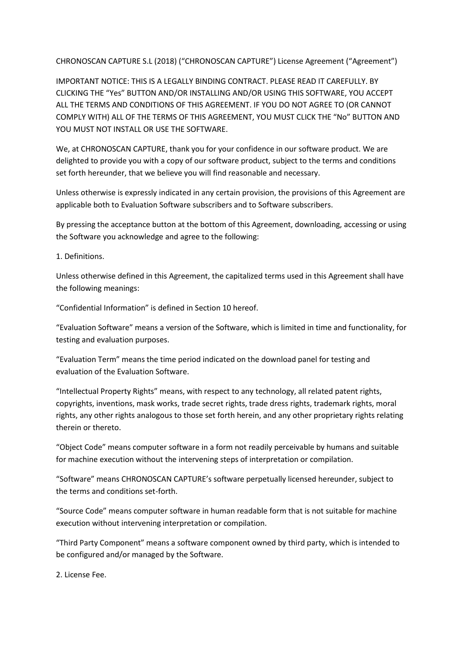CHRONOSCAN CAPTURE S.L (2018) ("CHRONOSCAN CAPTURE") License Agreement ("Agreement")

IMPORTANT NOTICE: THIS IS A LEGALLY BINDING CONTRACT. PLEASE READ IT CAREFULLY. BY CLICKING THE "Yes" BUTTON AND/OR INSTALLING AND/OR USING THIS SOFTWARE, YOU ACCEPT ALL THE TERMS AND CONDITIONS OF THIS AGREEMENT. IF YOU DO NOT AGREE TO (OR CANNOT COMPLY WITH) ALL OF THE TERMS OF THIS AGREEMENT, YOU MUST CLICK THE "No" BUTTON AND YOU MUST NOT INSTALL OR USE THE SOFTWARE.

We, at CHRONOSCAN CAPTURE, thank you for your confidence in our software product. We are delighted to provide you with a copy of our software product, subject to the terms and conditions set forth hereunder, that we believe you will find reasonable and necessary.

Unless otherwise is expressly indicated in any certain provision, the provisions of this Agreement are applicable both to Evaluation Software subscribers and to Software subscribers.

By pressing the acceptance button at the bottom of this Agreement, downloading, accessing or using the Software you acknowledge and agree to the following:

1. Definitions.

Unless otherwise defined in this Agreement, the capitalized terms used in this Agreement shall have the following meanings:

"Confidential Information" is defined in Section 10 hereof.

"Evaluation Software" means a version of the Software, which is limited in time and functionality, for testing and evaluation purposes.

"Evaluation Term" means the time period indicated on the download panel for testing and evaluation of the Evaluation Software.

"Intellectual Property Rights" means, with respect to any technology, all related patent rights, copyrights, inventions, mask works, trade secret rights, trade dress rights, trademark rights, moral rights, any other rights analogous to those set forth herein, and any other proprietary rights relating therein or thereto.

"Object Code" means computer software in a form not readily perceivable by humans and suitable for machine execution without the intervening steps of interpretation or compilation.

"Software" means CHRONOSCAN CAPTURE's software perpetually licensed hereunder, subject to the terms and conditions set-forth.

"Source Code" means computer software in human readable form that is not suitable for machine execution without intervening interpretation or compilation.

"Third Party Component" means a software component owned by third party, which is intended to be configured and/or managed by the Software.

2. License Fee.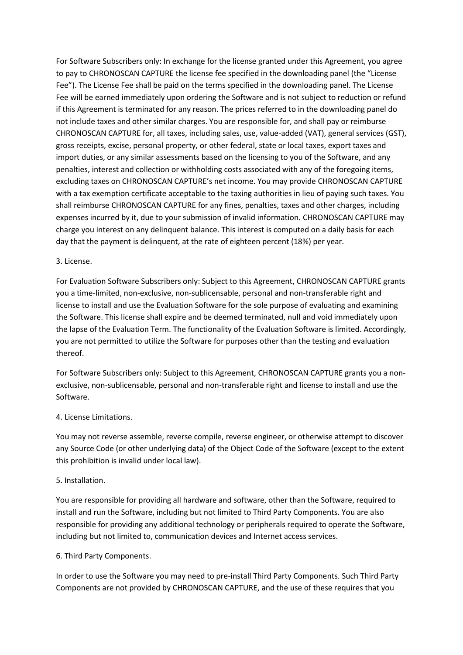For Software Subscribers only: In exchange for the license granted under this Agreement, you agree to pay to CHRONOSCAN CAPTURE the license fee specified in the downloading panel (the "License Fee"). The License Fee shall be paid on the terms specified in the downloading panel. The License Fee will be earned immediately upon ordering the Software and is not subject to reduction or refund if this Agreement is terminated for any reason. The prices referred to in the downloading panel do not include taxes and other similar charges. You are responsible for, and shall pay or reimburse CHRONOSCAN CAPTURE for, all taxes, including sales, use, value-added (VAT), general services (GST), gross receipts, excise, personal property, or other federal, state or local taxes, export taxes and import duties, or any similar assessments based on the licensing to you of the Software, and any penalties, interest and collection or withholding costs associated with any of the foregoing items, excluding taxes on CHRONOSCAN CAPTURE's net income. You may provide CHRONOSCAN CAPTURE with a tax exemption certificate acceptable to the taxing authorities in lieu of paying such taxes. You shall reimburse CHRONOSCAN CAPTURE for any fines, penalties, taxes and other charges, including expenses incurred by it, due to your submission of invalid information. CHRONOSCAN CAPTURE may charge you interest on any delinquent balance. This interest is computed on a daily basis for each day that the payment is delinquent, at the rate of eighteen percent (18%) per year.

## 3. License.

For Evaluation Software Subscribers only: Subject to this Agreement, CHRONOSCAN CAPTURE grants you a time-limited, non-exclusive, non-sublicensable, personal and non-transferable right and license to install and use the Evaluation Software for the sole purpose of evaluating and examining the Software. This license shall expire and be deemed terminated, null and void immediately upon the lapse of the Evaluation Term. The functionality of the Evaluation Software is limited. Accordingly, you are not permitted to utilize the Software for purposes other than the testing and evaluation thereof.

For Software Subscribers only: Subject to this Agreement, CHRONOSCAN CAPTURE grants you a nonexclusive, non-sublicensable, personal and non-transferable right and license to install and use the Software.

## 4. License Limitations.

You may not reverse assemble, reverse compile, reverse engineer, or otherwise attempt to discover any Source Code (or other underlying data) of the Object Code of the Software (except to the extent this prohibition is invalid under local law).

## 5. Installation.

You are responsible for providing all hardware and software, other than the Software, required to install and run the Software, including but not limited to Third Party Components. You are also responsible for providing any additional technology or peripherals required to operate the Software, including but not limited to, communication devices and Internet access services.

## 6. Third Party Components.

In order to use the Software you may need to pre-install Third Party Components. Such Third Party Components are not provided by CHRONOSCAN CAPTURE, and the use of these requires that you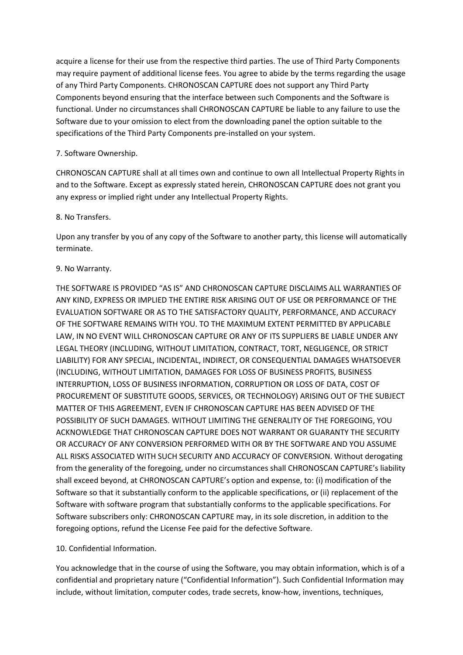acquire a license for their use from the respective third parties. The use of Third Party Components may require payment of additional license fees. You agree to abide by the terms regarding the usage of any Third Party Components. CHRONOSCAN CAPTURE does not support any Third Party Components beyond ensuring that the interface between such Components and the Software is functional. Under no circumstances shall CHRONOSCAN CAPTURE be liable to any failure to use the Software due to your omission to elect from the downloading panel the option suitable to the specifications of the Third Party Components pre-installed on your system.

# 7. Software Ownership.

CHRONOSCAN CAPTURE shall at all times own and continue to own all Intellectual Property Rights in and to the Software. Except as expressly stated herein, CHRONOSCAN CAPTURE does not grant you any express or implied right under any Intellectual Property Rights.

## 8. No Transfers.

Upon any transfer by you of any copy of the Software to another party, this license will automatically terminate.

## 9. No Warranty.

THE SOFTWARE IS PROVIDED "AS IS" AND CHRONOSCAN CAPTURE DISCLAIMS ALL WARRANTIES OF ANY KIND, EXPRESS OR IMPLIED THE ENTIRE RISK ARISING OUT OF USE OR PERFORMANCE OF THE EVALUATION SOFTWARE OR AS TO THE SATISFACTORY QUALITY, PERFORMANCE, AND ACCURACY OF THE SOFTWARE REMAINS WITH YOU. TO THE MAXIMUM EXTENT PERMITTED BY APPLICABLE LAW, IN NO EVENT WILL CHRONOSCAN CAPTURE OR ANY OF ITS SUPPLIERS BE LIABLE UNDER ANY LEGAL THEORY (INCLUDING, WITHOUT LIMITATION, CONTRACT, TORT, NEGLIGENCE, OR STRICT LIABILITY) FOR ANY SPECIAL, INCIDENTAL, INDIRECT, OR CONSEQUENTIAL DAMAGES WHATSOEVER (INCLUDING, WITHOUT LIMITATION, DAMAGES FOR LOSS OF BUSINESS PROFITS, BUSINESS INTERRUPTION, LOSS OF BUSINESS INFORMATION, CORRUPTION OR LOSS OF DATA, COST OF PROCUREMENT OF SUBSTITUTE GOODS, SERVICES, OR TECHNOLOGY) ARISING OUT OF THE SUBJECT MATTER OF THIS AGREEMENT, EVEN IF CHRONOSCAN CAPTURE HAS BEEN ADVISED OF THE POSSIBILITY OF SUCH DAMAGES. WITHOUT LIMITING THE GENERALITY OF THE FOREGOING, YOU ACKNOWLEDGE THAT CHRONOSCAN CAPTURE DOES NOT WARRANT OR GUARANTY THE SECURITY OR ACCURACY OF ANY CONVERSION PERFORMED WITH OR BY THE SOFTWARE AND YOU ASSUME ALL RISKS ASSOCIATED WITH SUCH SECURITY AND ACCURACY OF CONVERSION. Without derogating from the generality of the foregoing, under no circumstances shall CHRONOSCAN CAPTURE's liability shall exceed beyond, at CHRONOSCAN CAPTURE's option and expense, to: (i) modification of the Software so that it substantially conform to the applicable specifications, or (ii) replacement of the Software with software program that substantially conforms to the applicable specifications. For Software subscribers only: CHRONOSCAN CAPTURE may, in its sole discretion, in addition to the foregoing options, refund the License Fee paid for the defective Software.

# 10. Confidential Information.

You acknowledge that in the course of using the Software, you may obtain information, which is of a confidential and proprietary nature ("Confidential Information"). Such Confidential Information may include, without limitation, computer codes, trade secrets, know-how, inventions, techniques,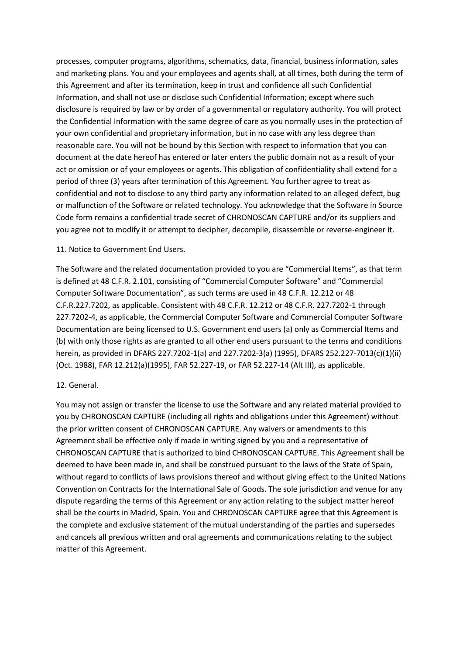processes, computer programs, algorithms, schematics, data, financial, business information, sales and marketing plans. You and your employees and agents shall, at all times, both during the term of this Agreement and after its termination, keep in trust and confidence all such Confidential Information, and shall not use or disclose such Confidential Information; except where such disclosure is required by law or by order of a governmental or regulatory authority. You will protect the Confidential Information with the same degree of care as you normally uses in the protection of your own confidential and proprietary information, but in no case with any less degree than reasonable care. You will not be bound by this Section with respect to information that you can document at the date hereof has entered or later enters the public domain not as a result of your act or omission or of your employees or agents. This obligation of confidentiality shall extend for a period of three (3) years after termination of this Agreement. You further agree to treat as confidential and not to disclose to any third party any information related to an alleged defect, bug or malfunction of the Software or related technology. You acknowledge that the Software in Source Code form remains a confidential trade secret of CHRONOSCAN CAPTURE and/or its suppliers and you agree not to modify it or attempt to decipher, decompile, disassemble or reverse-engineer it.

#### 11. Notice to Government End Users.

The Software and the related documentation provided to you are "Commercial Items", as that term is defined at 48 C.F.R. 2.101, consisting of "Commercial Computer Software" and "Commercial Computer Software Documentation", as such terms are used in 48 C.F.R. 12.212 or 48 C.F.R.227.7202, as applicable. Consistent with 48 C.F.R. 12.212 or 48 C.F.R. 227.7202-1 through 227.7202-4, as applicable, the Commercial Computer Software and Commercial Computer Software Documentation are being licensed to U.S. Government end users (a) only as Commercial Items and (b) with only those rights as are granted to all other end users pursuant to the terms and conditions herein, as provided in DFARS 227.7202-1(a) and 227.7202-3(a) (1995), DFARS 252.227-7013(c)(1)(ii) (Oct. 1988), FAR 12.212(a)(1995), FAR 52.227-19, or FAR 52.227-14 (Alt III), as applicable.

#### 12. General.

You may not assign or transfer the license to use the Software and any related material provided to you by CHRONOSCAN CAPTURE (including all rights and obligations under this Agreement) without the prior written consent of CHRONOSCAN CAPTURE. Any waivers or amendments to this Agreement shall be effective only if made in writing signed by you and a representative of CHRONOSCAN CAPTURE that is authorized to bind CHRONOSCAN CAPTURE. This Agreement shall be deemed to have been made in, and shall be construed pursuant to the laws of the State of Spain, without regard to conflicts of laws provisions thereof and without giving effect to the United Nations Convention on Contracts for the International Sale of Goods. The sole jurisdiction and venue for any dispute regarding the terms of this Agreement or any action relating to the subject matter hereof shall be the courts in Madrid, Spain. You and CHRONOSCAN CAPTURE agree that this Agreement is the complete and exclusive statement of the mutual understanding of the parties and supersedes and cancels all previous written and oral agreements and communications relating to the subject matter of this Agreement.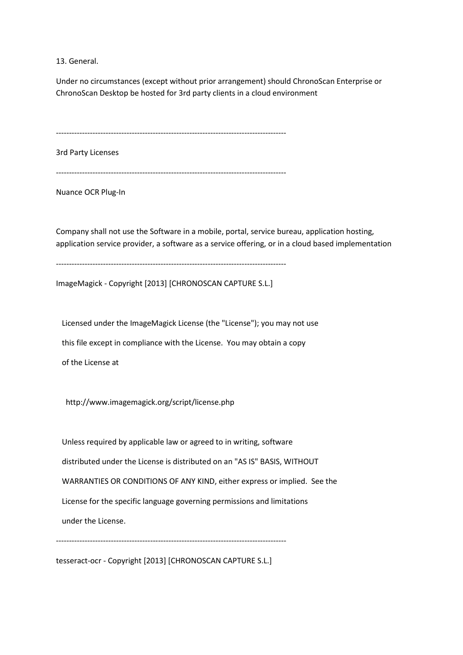13. General.

Under no circumstances (except without prior arrangement) should ChronoScan Enterprise or ChronoScan Desktop be hosted for 3rd party clients in a cloud environment

----------------------------------------------------------------------------------------

3rd Party Licenses

----------------------------------------------------------------------------------------

Nuance OCR Plug-In

Company shall not use the Software in a mobile, portal, service bureau, application hosting, application service provider, a software as a service offering, or in a cloud based implementation

----------------------------------------------------------------------------------------

ImageMagick - Copyright [2013] [CHRONOSCAN CAPTURE S.L.]

 Licensed under the ImageMagick License (the "License"); you may not use this file except in compliance with the License. You may obtain a copy of the License at

http://www.imagemagick.org/script/license.php

 Unless required by applicable law or agreed to in writing, software distributed under the License is distributed on an "AS IS" BASIS, WITHOUT WARRANTIES OR CONDITIONS OF ANY KIND, either express or implied. See the License for the specific language governing permissions and limitations under the License.

----------------------------------------------------------------------------------------

tesseract-ocr - Copyright [2013] [CHRONOSCAN CAPTURE S.L.]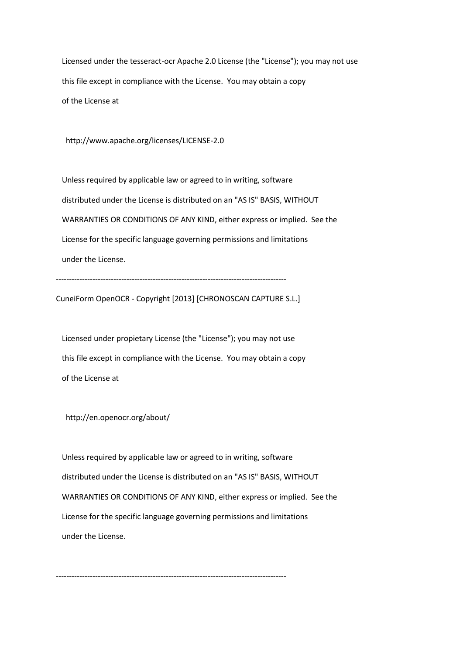Licensed under the tesseract-ocr Apache 2.0 License (the "License"); you may not use this file except in compliance with the License. You may obtain a copy of the License at

http://www.apache.org/licenses/LICENSE-2.0

 Unless required by applicable law or agreed to in writing, software distributed under the License is distributed on an "AS IS" BASIS, WITHOUT WARRANTIES OR CONDITIONS OF ANY KIND, either express or implied. See the License for the specific language governing permissions and limitations under the License.

----------------------------------------------------------------------------------------

CuneiForm OpenOCR - Copyright [2013] [CHRONOSCAN CAPTURE S.L.]

 Licensed under propietary License (the "License"); you may not use this file except in compliance with the License. You may obtain a copy of the License at

http://en.openocr.org/about/

 Unless required by applicable law or agreed to in writing, software distributed under the License is distributed on an "AS IS" BASIS, WITHOUT WARRANTIES OR CONDITIONS OF ANY KIND, either express or implied. See the License for the specific language governing permissions and limitations under the License.

----------------------------------------------------------------------------------------